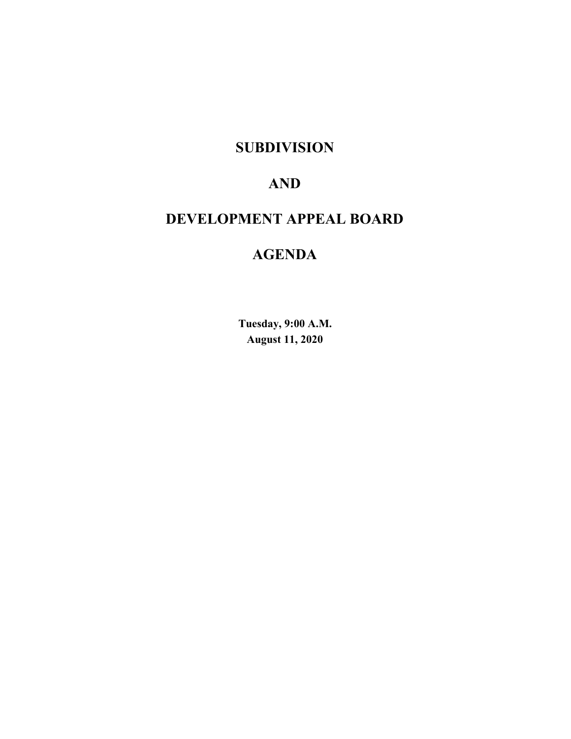## **SUBDIVISION**

# **AND**

# **DEVELOPMENT APPEAL BOARD**

# **AGENDA**

**Tuesday, 9:00 A.M. August 11, 2020**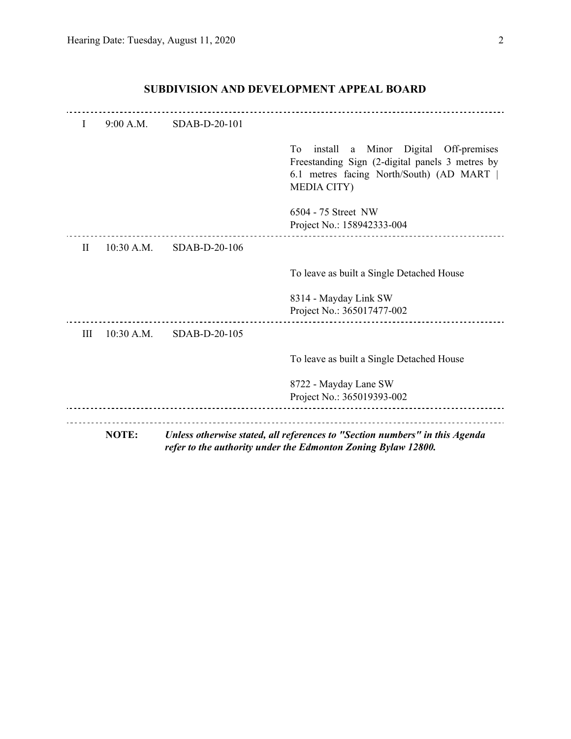|           | NOTE:        |               | Unless otherwise stated, all references to "Section numbers" in this Agenda<br>refer to the authority under the Edmonton Zoning Bylaw 12800.                                    |
|-----------|--------------|---------------|---------------------------------------------------------------------------------------------------------------------------------------------------------------------------------|
|           |              |               | 8722 - Mayday Lane SW<br>Project No.: 365019393-002                                                                                                                             |
|           |              |               | To leave as built a Single Detached House                                                                                                                                       |
| Ш         | 10:30 A.M.   | SDAB-D-20-105 |                                                                                                                                                                                 |
|           |              |               | 8314 - Mayday Link SW<br>Project No.: 365017477-002                                                                                                                             |
|           |              |               | To leave as built a Single Detached House                                                                                                                                       |
| $\rm{II}$ | $10:30$ A.M. | SDAB-D-20-106 |                                                                                                                                                                                 |
|           |              |               | 6504 - 75 Street NW<br>Project No.: 158942333-004                                                                                                                               |
|           |              |               | T <sub>0</sub><br>a Minor Digital Off-premises<br>install<br>Freestanding Sign (2-digital panels 3 metres by<br>6.1 metres facing North/South) (AD MART  <br><b>MEDIA CITY)</b> |
| I         | 9:00 A.M.    | SDAB-D-20-101 |                                                                                                                                                                                 |

## **SUBDIVISION AND DEVELOPMENT APPEAL BOARD**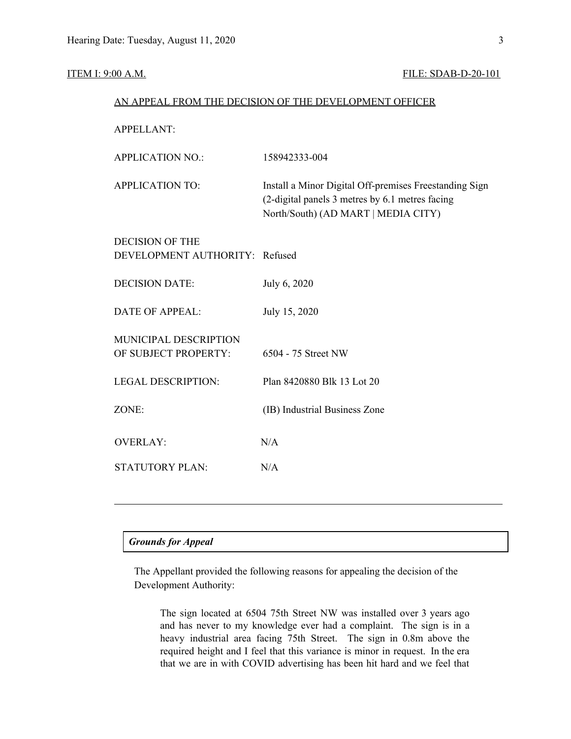#### **ITEM I: 9:00 A.M. FILE: SDAB-D-20-101**

| AN APPEAL FROM THE DECISION OF THE DEVELOPMENT OFFICER   |                                                                                                                                                  |  |  |  |
|----------------------------------------------------------|--------------------------------------------------------------------------------------------------------------------------------------------------|--|--|--|
| <b>APPELLANT:</b>                                        |                                                                                                                                                  |  |  |  |
| <b>APPLICATION NO.:</b>                                  | 158942333-004                                                                                                                                    |  |  |  |
| <b>APPLICATION TO:</b>                                   | Install a Minor Digital Off-premises Freestanding Sign<br>(2-digital panels 3 metres by 6.1 metres facing<br>North/South) (AD MART   MEDIA CITY) |  |  |  |
| <b>DECISION OF THE</b><br>DEVELOPMENT AUTHORITY: Refused |                                                                                                                                                  |  |  |  |
| <b>DECISION DATE:</b>                                    | July 6, 2020                                                                                                                                     |  |  |  |
| <b>DATE OF APPEAL:</b>                                   | July 15, 2020                                                                                                                                    |  |  |  |
| MUNICIPAL DESCRIPTION<br>OF SUBJECT PROPERTY:            | 6504 - 75 Street NW                                                                                                                              |  |  |  |
| <b>LEGAL DESCRIPTION:</b>                                | Plan 8420880 Blk 13 Lot 20                                                                                                                       |  |  |  |
| ZONE:                                                    | (IB) Industrial Business Zone                                                                                                                    |  |  |  |
| <b>OVERLAY:</b>                                          | N/A                                                                                                                                              |  |  |  |
| <b>STATUTORY PLAN:</b>                                   | N/A                                                                                                                                              |  |  |  |
|                                                          |                                                                                                                                                  |  |  |  |

### *Grounds for Appeal*

The Appellant provided the following reasons for appealing the decision of the Development Authority:

The sign located at 6504 75th Street NW was installed over 3 years ago and has never to my knowledge ever had a complaint. The sign is in a heavy industrial area facing 75th Street. The sign in 0.8m above the required height and I feel that this variance is minor in request. In the era that we are in with COVID advertising has been hit hard and we feel that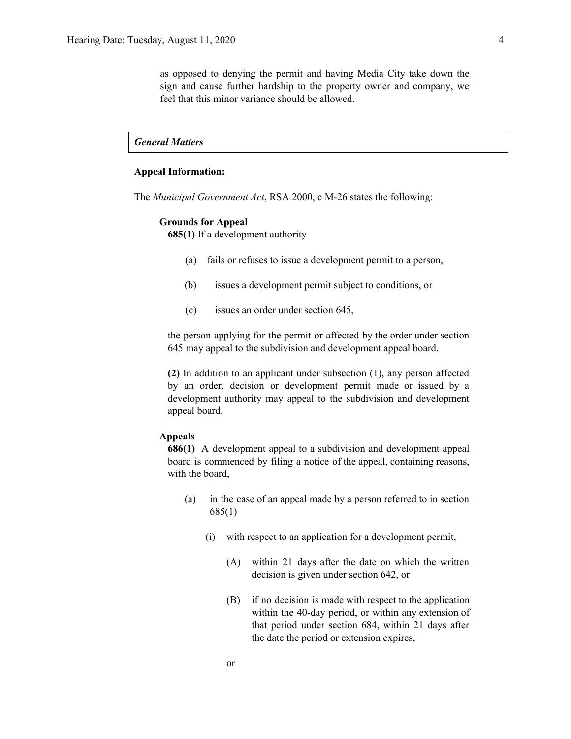as opposed to denying the permit and having Media City take down the sign and cause further hardship to the property owner and company, we feel that this minor variance should be allowed.

*General Matters*

#### **Appeal Information:**

The *Municipal Government Act*, RSA 2000, c M-26 states the following:

#### **Grounds for Appeal**

**685(1)** If a development authority

- (a) fails or refuses to issue a development permit to a person,
- (b) issues a development permit subject to conditions, or
- (c) issues an order under section 645,

the person applying for the permit or affected by the order under section 645 may appeal to the subdivision and development appeal board.

**(2)** In addition to an applicant under subsection (1), any person affected by an order, decision or development permit made or issued by a development authority may appeal to the subdivision and development appeal board.

#### **Appeals**

**686(1)** A development appeal to a subdivision and development appeal board is commenced by filing a notice of the appeal, containing reasons, with the board,

- (a) in the case of an appeal made by a person referred to in section 685(1)
	- (i) with respect to an application for a development permit,
		- (A) within 21 days after the date on which the written decision is given under section 642, or
		- (B) if no decision is made with respect to the application within the 40-day period, or within any extension of that period under section 684, within 21 days after the date the period or extension expires,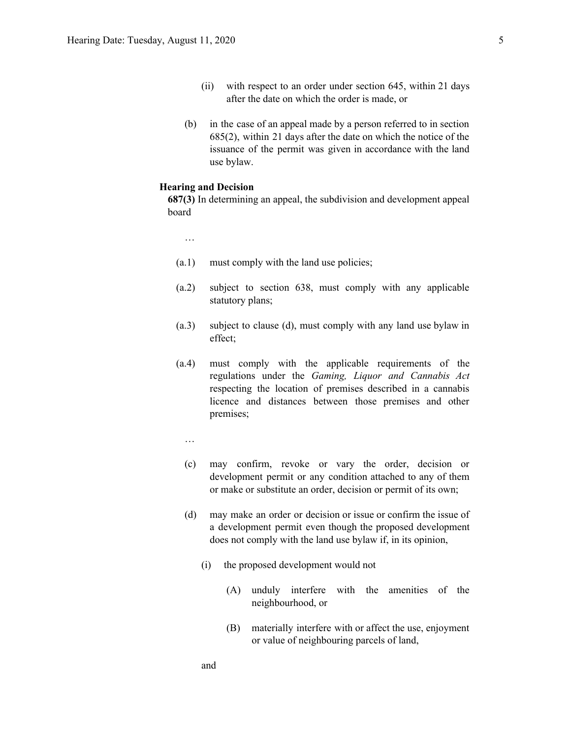- (ii) with respect to an order under section 645, within 21 days after the date on which the order is made, or
- (b) in the case of an appeal made by a person referred to in section 685(2), within 21 days after the date on which the notice of the issuance of the permit was given in accordance with the land use bylaw.

#### **Hearing and Decision**

**687(3)** In determining an appeal, the subdivision and development appeal board

…

- (a.1) must comply with the land use policies;
- (a.2) subject to section 638, must comply with any applicable statutory plans;
- (a.3) subject to clause (d), must comply with any land use bylaw in effect;
- (a.4) must comply with the applicable requirements of the regulations under the *Gaming, Liquor and Cannabis Act* respecting the location of premises described in a cannabis licence and distances between those premises and other premises;
	- …
	- (c) may confirm, revoke or vary the order, decision or development permit or any condition attached to any of them or make or substitute an order, decision or permit of its own;
	- (d) may make an order or decision or issue or confirm the issue of a development permit even though the proposed development does not comply with the land use bylaw if, in its opinion,
		- (i) the proposed development would not
			- (A) unduly interfere with the amenities of the neighbourhood, or
			- (B) materially interfere with or affect the use, enjoyment or value of neighbouring parcels of land,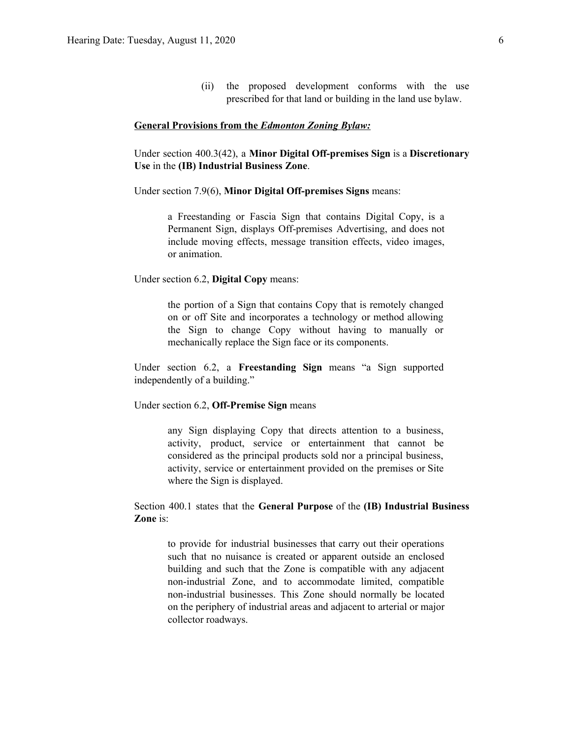(ii) the proposed development conforms with the use prescribed for that land or building in the land use bylaw.

#### **General Provisions from the** *Edmonton Zoning Bylaw:*

Under section 400.3(42), a **Minor Digital Off-premises Sign** is a **Discretionary Use** in the **(IB) Industrial Business Zone**.

Under section 7.9(6), **Minor Digital Off-premises Signs** means:

a Freestanding or Fascia Sign that contains Digital Copy, is a Permanent Sign, displays Off-premises Advertising, and does not include moving effects, message transition effects, video images, or animation.

Under section 6.2, **Digital Copy** means:

the portion of a Sign that contains Copy that is remotely changed on or off Site and incorporates a technology or method allowing the Sign to change Copy without having to manually or mechanically replace the Sign face or its components.

Under section 6.2, a **Freestanding Sign** means "a Sign supported independently of a building."

Under section 6.2, **Off-Premise Sign** means

any Sign displaying Copy that directs attention to a business, activity, product, service or entertainment that cannot be considered as the principal products sold nor a principal business, activity, service or entertainment provided on the premises or Site where the Sign is displayed.

Section 400.1 states that the **General Purpose** of the **(IB) Industrial Business Zone** is:

to provide for industrial businesses that carry out their operations such that no nuisance is created or apparent outside an enclosed building and such that the Zone is compatible with any adjacent non-industrial Zone, and to accommodate limited, compatible non-industrial businesses. This Zone should normally be located on the periphery of industrial areas and adjacent to arterial or major collector roadways.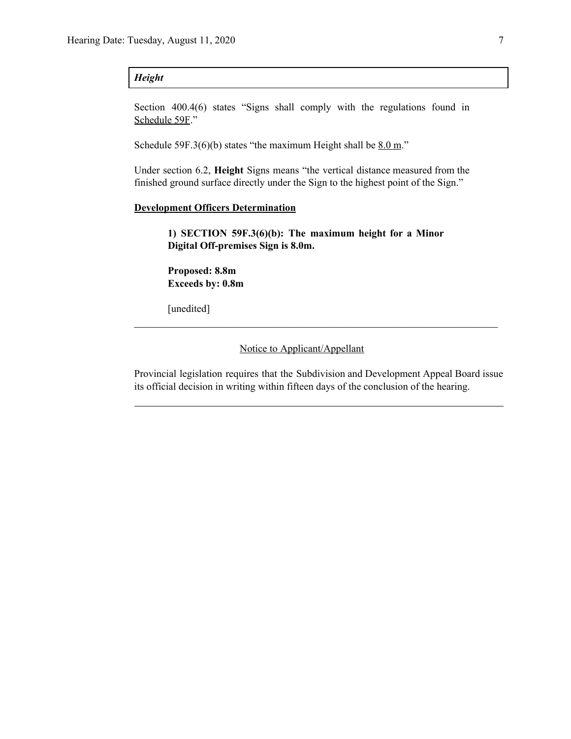#### *Height*

Section 400.4(6) states "Signs shall comply with the regulations found in Schedule 59F."

Schedule 59F.3(6)(b) states "the maximum Height shall be  $8.0 \text{ m}$ ."

Under section 6.2, **Height** Signs means "the vertical distance measured from the finished ground surface directly under the Sign to the highest point of the Sign."

#### **Development Officers Determination**

**1) SECTION 59F.3(6)(b): The maximum height for a Minor Digital Off-premises Sign is 8.0m.**

**Proposed: 8.8m Exceeds by: 0.8m**

[unedited]

Notice to Applicant/Appellant

Provincial legislation requires that the Subdivision and Development Appeal Board issue its official decision in writing within fifteen days of the conclusion of the hearing.

 $\mathcal{L}_\text{max}$  , and the contribution of the contribution of the contribution of the contribution of the contribution of the contribution of the contribution of the contribution of the contribution of the contribution of t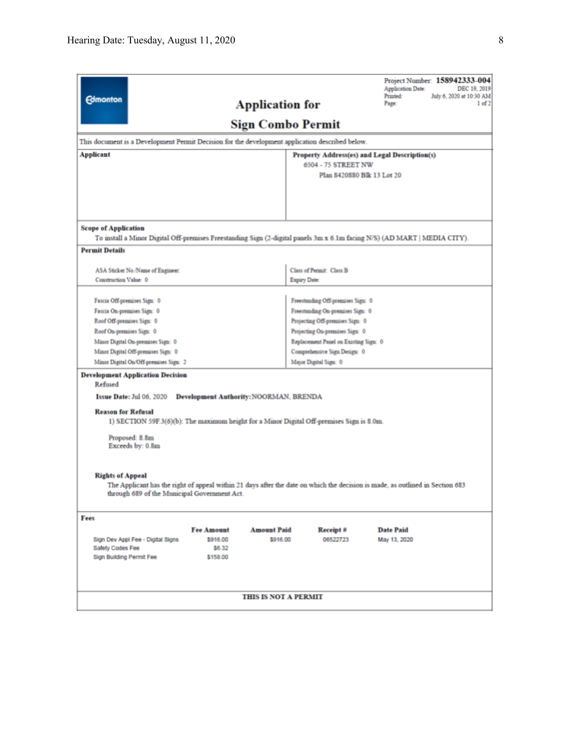| <b>Edmonton</b>             |                                                                                                                                                                               |                                               | <b>Application for</b>         |                                                                       |                            | <b>Application Date:</b><br>Printed:<br>Page: | Project Number: 158942333-004<br>DEC 19, 2019<br>July 6, 2020 at 10:30 AM<br>1 of 2 |
|-----------------------------|-------------------------------------------------------------------------------------------------------------------------------------------------------------------------------|-----------------------------------------------|--------------------------------|-----------------------------------------------------------------------|----------------------------|-----------------------------------------------|-------------------------------------------------------------------------------------|
|                             |                                                                                                                                                                               |                                               |                                | <b>Sign Combo Permit</b>                                              |                            |                                               |                                                                                     |
|                             | This document is a Development Permit Decision for the development application described below.                                                                               |                                               |                                |                                                                       |                            |                                               |                                                                                     |
| Applicant                   |                                                                                                                                                                               |                                               |                                | Property Address(es) and Legal Description(s)                         |                            |                                               |                                                                                     |
|                             |                                                                                                                                                                               |                                               |                                | 6504 - 75 STREET NW                                                   | Plan 8420880 Blk 13 Lot 20 |                                               |                                                                                     |
|                             |                                                                                                                                                                               |                                               |                                |                                                                       |                            |                                               |                                                                                     |
|                             |                                                                                                                                                                               |                                               |                                |                                                                       |                            |                                               |                                                                                     |
|                             |                                                                                                                                                                               |                                               |                                |                                                                       |                            |                                               |                                                                                     |
| <b>Scope of Application</b> |                                                                                                                                                                               |                                               |                                |                                                                       |                            |                                               |                                                                                     |
|                             | To install a Minor Digital Off-premises Freestanding Sign (2-digital panels 3m x 6.1m facing N/S) (AD MART   MEDIA CITY).                                                     |                                               |                                |                                                                       |                            |                                               |                                                                                     |
| <b>Permit Details</b>       |                                                                                                                                                                               |                                               |                                |                                                                       |                            |                                               |                                                                                     |
|                             | ASA Sticker No./Name of Engineer:                                                                                                                                             |                                               |                                | <b>Class of Permit: Class B</b>                                       |                            |                                               |                                                                                     |
| Construction Value: 0       |                                                                                                                                                                               |                                               |                                | Expiry Date:                                                          |                            |                                               |                                                                                     |
|                             |                                                                                                                                                                               |                                               |                                |                                                                       |                            |                                               |                                                                                     |
| Fascia On-premises Sign: 0  | Fascia Off-premises Sign: 0                                                                                                                                                   |                                               |                                | Freestanding Off-premises Sign: 0<br>Freestanding On-premises Sign: 0 |                            |                                               |                                                                                     |
| Roof Off-premises Sign: 0   |                                                                                                                                                                               |                                               |                                | Projecting Off-premises Sign: 0                                       |                            |                                               |                                                                                     |
| Roof On-premises Sign: 0    |                                                                                                                                                                               |                                               |                                | Projecting On-premises Sign: 0                                        |                            |                                               |                                                                                     |
|                             | Minor Digital On-premises Sign: 0                                                                                                                                             |                                               |                                | Replacement Panel on Existing Sign: 0                                 |                            |                                               |                                                                                     |
|                             | Minor Digital Off-premises Sign: 0                                                                                                                                            |                                               |                                | Comprehensive Sign Design: 0                                          |                            |                                               |                                                                                     |
|                             | Minor Digital On/Off-premises Sign: 2                                                                                                                                         |                                               |                                | Major Digital Sign: 0                                                 |                            |                                               |                                                                                     |
| Refused                     | <b>Development Application Decision</b>                                                                                                                                       |                                               |                                |                                                                       |                            |                                               |                                                                                     |
|                             | Issue Date: Jul 06, 2020                                                                                                                                                      | <b>Development Authority: NOORMAN, BRENDA</b> |                                |                                                                       |                            |                                               |                                                                                     |
| <b>Reason for Refusal</b>   | 1) SECTION 59F.3(6)(b): The maximum height for a Minor Digital Off-premises Sign is 8.0m.                                                                                     |                                               |                                |                                                                       |                            |                                               |                                                                                     |
|                             | Proposed: 8.8m<br>Exceeds by: 0.8m                                                                                                                                            |                                               |                                |                                                                       |                            |                                               |                                                                                     |
| <b>Rights of Appeal</b>     | The Applicant has the right of appeal within 21 days after the date on which the decision is made, as outlined in Section 683<br>through 689 of the Municipal Government Act. |                                               |                                |                                                                       |                            |                                               |                                                                                     |
| Fees                        |                                                                                                                                                                               |                                               |                                |                                                                       |                            |                                               |                                                                                     |
|                             |                                                                                                                                                                               | <b>Fee Amount</b>                             | <b>Amount Paid</b><br>\$916.00 | Receipt #                                                             |                            | <b>Date Paid</b>                              |                                                                                     |
| Safety Codes Fee            | Sign Dev Appl Fee - Digital Signs                                                                                                                                             | \$916.00<br>\$6.32                            |                                | 06522723                                                              |                            | May 13, 2020                                  |                                                                                     |
| Sign Building Permit Fee    |                                                                                                                                                                               | \$158.00                                      |                                |                                                                       |                            |                                               |                                                                                     |
|                             |                                                                                                                                                                               |                                               |                                |                                                                       |                            |                                               |                                                                                     |
|                             |                                                                                                                                                                               |                                               |                                |                                                                       |                            |                                               |                                                                                     |
|                             |                                                                                                                                                                               |                                               | THIS IS NOT A PERMIT           |                                                                       |                            |                                               |                                                                                     |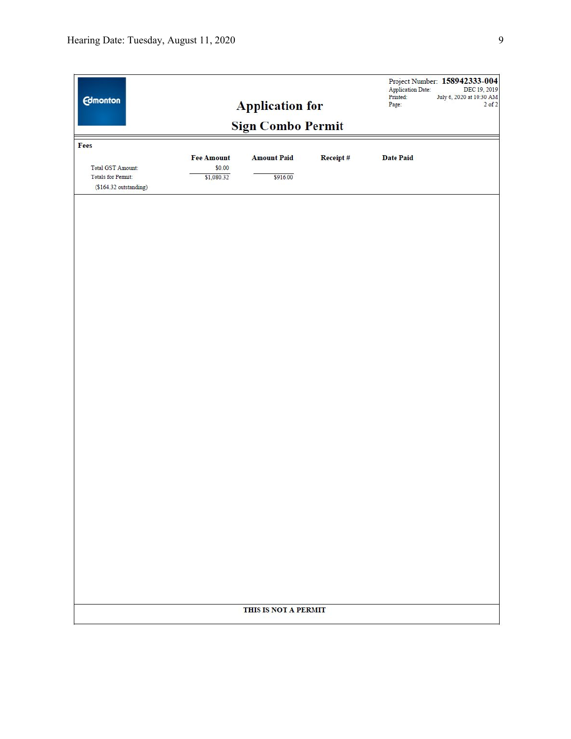| Fees<br><b>Fee Amount</b><br><b>Amount Paid</b><br>Receipt#<br><b>Date Paid</b><br>\$0.00<br>Total GST Amount:<br>Totals for Permit:<br>\$1,080.32<br>\$916.00<br>(\$164.32 outstanding)<br>THIS IS NOT A PERMIT | <b>Edmonton</b> | <b>Application for</b><br><b>Sign Combo Permit</b> | <b>Application Date:</b><br>Printed:<br>Page: | Project Number: 158942333-004<br>DEC 19, 2019<br>July 6, 2020 at 10:30 AM<br>$2$ of $2$ |
|------------------------------------------------------------------------------------------------------------------------------------------------------------------------------------------------------------------|-----------------|----------------------------------------------------|-----------------------------------------------|-----------------------------------------------------------------------------------------|
|                                                                                                                                                                                                                  |                 |                                                    |                                               |                                                                                         |
|                                                                                                                                                                                                                  |                 |                                                    |                                               |                                                                                         |
|                                                                                                                                                                                                                  |                 |                                                    |                                               |                                                                                         |
|                                                                                                                                                                                                                  |                 |                                                    |                                               |                                                                                         |
|                                                                                                                                                                                                                  |                 |                                                    |                                               |                                                                                         |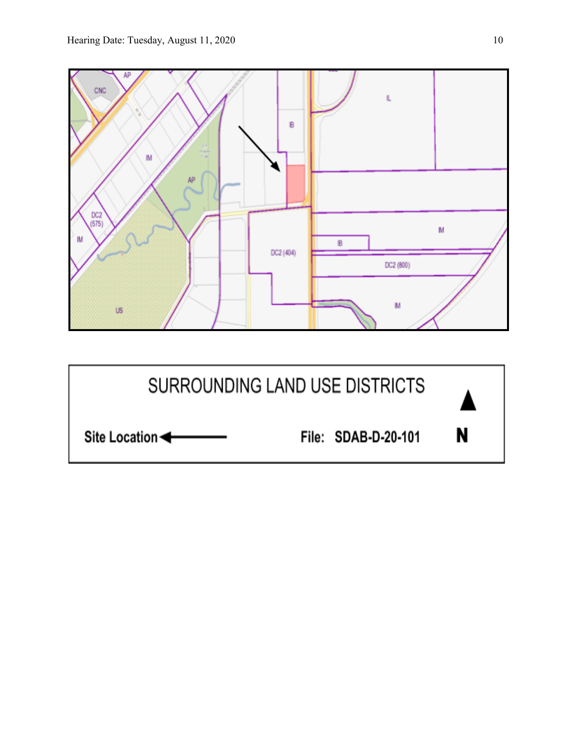

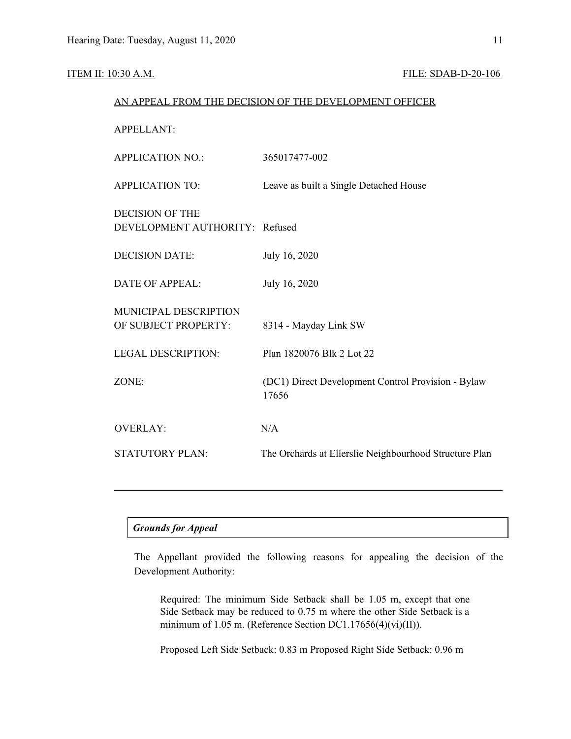#### ITEM II: 10:30 A.M. FILE: SDAB-D-20-106

|                                                          | AN APPEAL FROM THE DECISION OF THE DEVELOPMENT OFFICER      |
|----------------------------------------------------------|-------------------------------------------------------------|
| <b>APPELLANT:</b>                                        |                                                             |
| <b>APPLICATION NO.:</b>                                  | 365017477-002                                               |
| <b>APPLICATION TO:</b>                                   | Leave as built a Single Detached House                      |
| <b>DECISION OF THE</b><br>DEVELOPMENT AUTHORITY: Refused |                                                             |
| <b>DECISION DATE:</b>                                    | July 16, 2020                                               |
| <b>DATE OF APPEAL:</b>                                   | July 16, 2020                                               |
| MUNICIPAL DESCRIPTION<br>OF SUBJECT PROPERTY:            | 8314 - Mayday Link SW                                       |
| <b>LEGAL DESCRIPTION:</b>                                | Plan 1820076 Blk 2 Lot 22                                   |
| ZONE:                                                    | (DC1) Direct Development Control Provision - Bylaw<br>17656 |
| <b>OVERLAY:</b>                                          | N/A                                                         |
| <b>STATUTORY PLAN:</b>                                   | The Orchards at Ellerslie Neighbourhood Structure Plan      |
|                                                          |                                                             |

#### *Grounds for Appeal*

The Appellant provided the following reasons for appealing the decision of the Development Authority:

Required: The minimum Side Setback shall be 1.05 m, except that one Side Setback may be reduced to 0.75 m where the other Side Setback is a minimum of 1.05 m. (Reference Section DC1.17656(4)(vi)(II)).

Proposed Left Side Setback: 0.83 m Proposed Right Side Setback: 0.96 m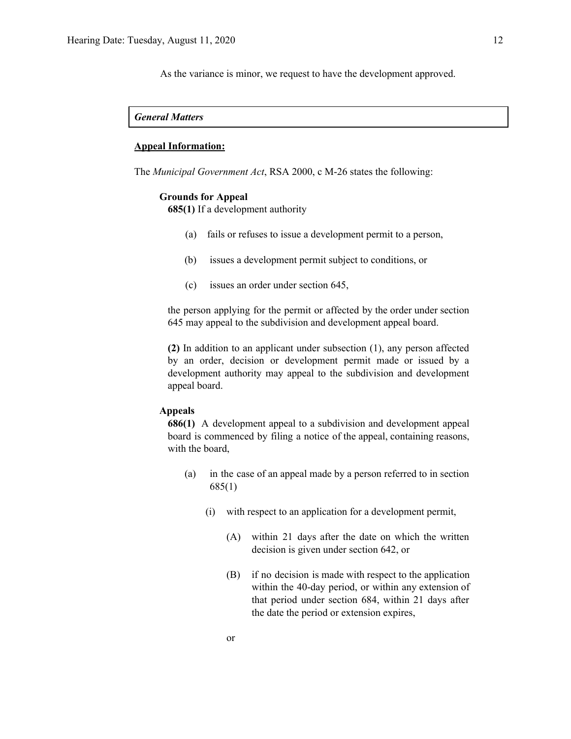As the variance is minor, we request to have the development approved.

#### *General Matters*

#### **Appeal Information:**

The *Municipal Government Act*, RSA 2000, c M-26 states the following:

#### **Grounds for Appeal**

**685(1)** If a development authority

- (a) fails or refuses to issue a development permit to a person,
- (b) issues a development permit subject to conditions, or
- (c) issues an order under section 645,

the person applying for the permit or affected by the order under section 645 may appeal to the subdivision and development appeal board.

**(2)** In addition to an applicant under subsection (1), any person affected by an order, decision or development permit made or issued by a development authority may appeal to the subdivision and development appeal board.

#### **Appeals**

**686(1)** A development appeal to a subdivision and development appeal board is commenced by filing a notice of the appeal, containing reasons, with the board,

- (a) in the case of an appeal made by a person referred to in section 685(1)
	- (i) with respect to an application for a development permit,
		- (A) within 21 days after the date on which the written decision is given under section 642, or
		- (B) if no decision is made with respect to the application within the 40-day period, or within any extension of that period under section 684, within 21 days after the date the period or extension expires,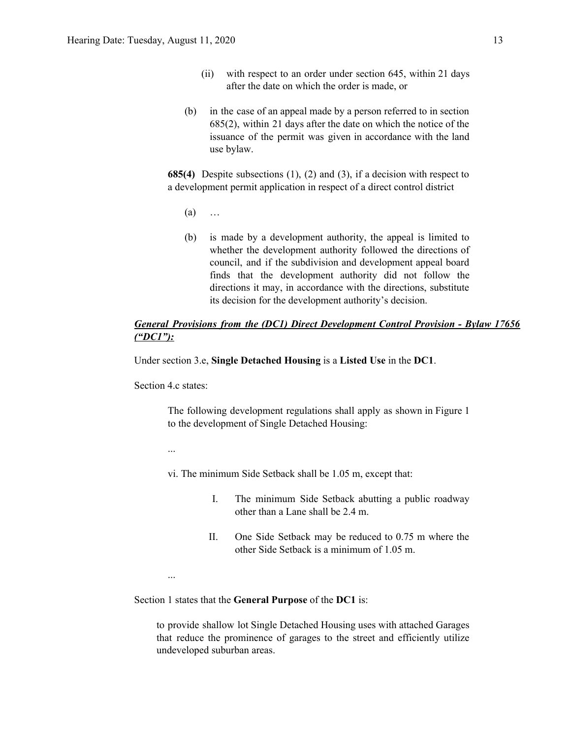- (ii) with respect to an order under section 645, within 21 days after the date on which the order is made, or
- (b) in the case of an appeal made by a person referred to in section 685(2), within 21 days after the date on which the notice of the issuance of the permit was given in accordance with the land use bylaw.

**685(4)** Despite subsections (1), (2) and (3), if a decision with respect to a development permit application in respect of a direct control district

- $(a)$  …
- (b) is made by a development authority, the appeal is limited to whether the development authority followed the directions of council, and if the subdivision and development appeal board finds that the development authority did not follow the directions it may, in accordance with the directions, substitute its decision for the development authority's decision.

### *General Provisions from the (DC1) Direct Development Control Provision - Bylaw 17656 ("DC1"):*

Under section 3.e, **Single Detached Housing** is a **Listed Use** in the **DC1**.

Section 4.c states:

The following development regulations shall apply as shown in Figure 1 to the development of Single Detached Housing:

...

...

- vi. The minimum Side Setback shall be 1.05 m, except that:
	- I. The minimum Side Setback abutting a public roadway other than a Lane shall be 2.4 m.
	- II. One Side Setback may be reduced to 0.75 m where the other Side Setback is a minimum of 1.05 m.

Section 1 states that the **General Purpose** of the **DC1** is:

to provide shallow lot Single Detached Housing uses with attached Garages that reduce the prominence of garages to the street and efficiently utilize undeveloped suburban areas.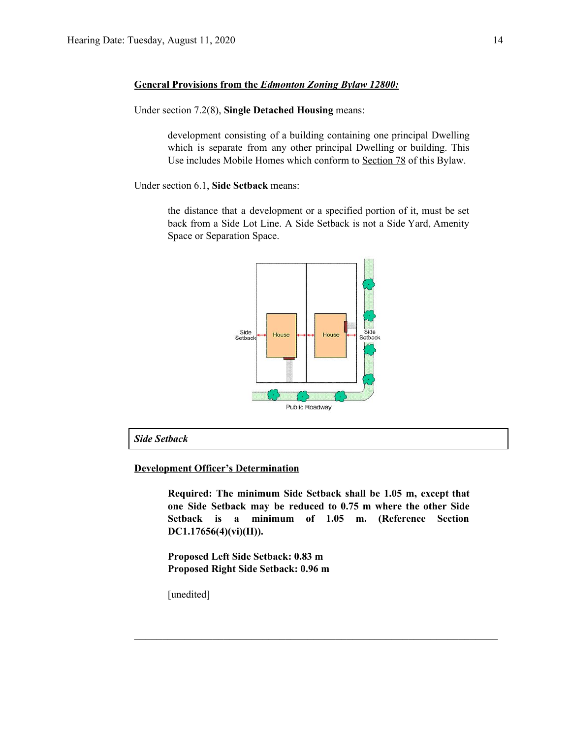#### **General Provisions from the** *Edmonton Zoning Bylaw 12800:*

Under section 7.2(8), **Single Detached Housing** means:

development consisting of a building containing one principal Dwelling which is separate from any other principal Dwelling or building. This Use includes Mobile Homes which conform to [Section](https://webdocs.edmonton.ca/InfraPlan/zoningbylaw/ZoningBylaw/Part1/Special_Land/78__Mobile_Homes.htm) 78 of this Bylaw.

Under section 6.1, **Side Setback** means:

the distance that a development or a specified portion of it, must be set back from a Side Lot Line. A Side Setback is not a Side Yard, Amenity Space or Separation Space.



*Side Setback*

#### **Development Officer's Determination**

**Required: The minimum Side Setback shall be 1.05 m, except that one Side Setback may be reduced to 0.75 m where the other Side Setback is a minimum of 1.05 m. (Reference Section DC1.17656(4)(vi)(II)).**

 $\mathcal{L}_\text{max}$  , and the contribution of the contribution of the contribution of the contribution of the contribution of the contribution of the contribution of the contribution of the contribution of the contribution of t

**Proposed Left Side Setback: 0.83 m Proposed Right Side Setback: 0.96 m**

[unedited]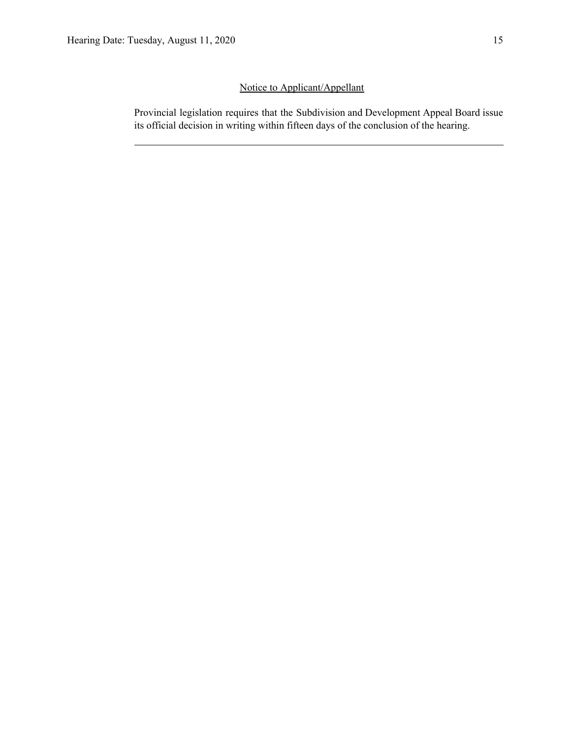## Notice to Applicant/Appellant

Provincial legislation requires that the Subdivision and Development Appeal Board issue its official decision in writing within fifteen days of the conclusion of the hearing.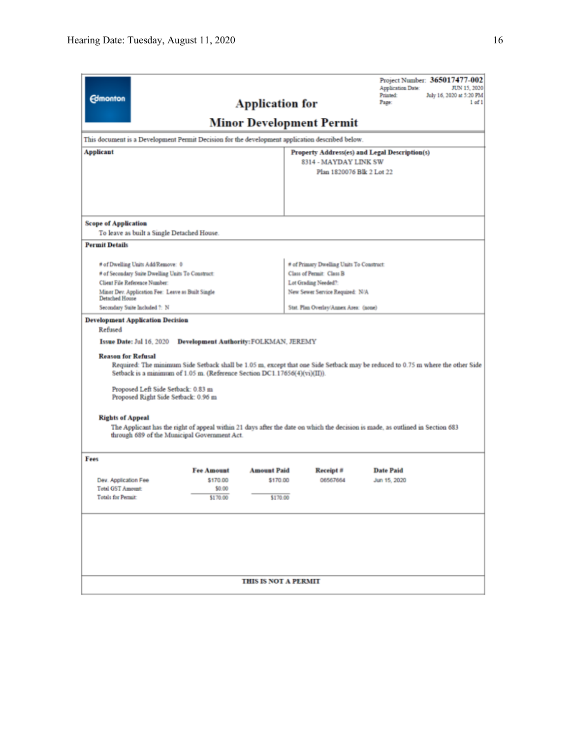| <b>Edmonton</b>                                                                                                                                                                                                                                                                                                                                                                                                                                                                                                                                                                                                |                    | <b>Application for</b>      | <b>Minor Development Permit</b>          | Project Number: 365017477-002<br><b>Application Date:</b><br>JUN 15, 2020<br><b>Printed:</b><br>July 16, 2020 at 5:20 PM<br>Page:<br>$1$ of $1$ |  |  |
|----------------------------------------------------------------------------------------------------------------------------------------------------------------------------------------------------------------------------------------------------------------------------------------------------------------------------------------------------------------------------------------------------------------------------------------------------------------------------------------------------------------------------------------------------------------------------------------------------------------|--------------------|-----------------------------|------------------------------------------|-------------------------------------------------------------------------------------------------------------------------------------------------|--|--|
| This document is a Development Permit Decision for the development application described below.                                                                                                                                                                                                                                                                                                                                                                                                                                                                                                                |                    |                             |                                          |                                                                                                                                                 |  |  |
| <b>Applicant</b>                                                                                                                                                                                                                                                                                                                                                                                                                                                                                                                                                                                               |                    |                             |                                          | Property Address(es) and Legal Description(s)                                                                                                   |  |  |
|                                                                                                                                                                                                                                                                                                                                                                                                                                                                                                                                                                                                                |                    |                             | 8314 - MAYDAY LINK SW                    |                                                                                                                                                 |  |  |
|                                                                                                                                                                                                                                                                                                                                                                                                                                                                                                                                                                                                                |                    |                             | Plan 1820076 Blk 2 Lot 22                |                                                                                                                                                 |  |  |
|                                                                                                                                                                                                                                                                                                                                                                                                                                                                                                                                                                                                                |                    |                             |                                          |                                                                                                                                                 |  |  |
| <b>Scope of Application</b>                                                                                                                                                                                                                                                                                                                                                                                                                                                                                                                                                                                    |                    |                             |                                          |                                                                                                                                                 |  |  |
| To leave as built a Single Detached House.                                                                                                                                                                                                                                                                                                                                                                                                                                                                                                                                                                     |                    |                             |                                          |                                                                                                                                                 |  |  |
| <b>Permit Details</b>                                                                                                                                                                                                                                                                                                                                                                                                                                                                                                                                                                                          |                    |                             |                                          |                                                                                                                                                 |  |  |
| # of Dwelling Units Add/Remove: 0                                                                                                                                                                                                                                                                                                                                                                                                                                                                                                                                                                              |                    |                             | # of Primary Dwelling Units To Construct |                                                                                                                                                 |  |  |
| # of Secondary Suite Dwelling Units To Construct:                                                                                                                                                                                                                                                                                                                                                                                                                                                                                                                                                              |                    |                             | Class of Permit: Class B                 |                                                                                                                                                 |  |  |
| Client File Reference Number:                                                                                                                                                                                                                                                                                                                                                                                                                                                                                                                                                                                  |                    |                             | Lot Grading Needed?:                     |                                                                                                                                                 |  |  |
| Minor Dev. Application Fee: Leave as Built Single<br>Detached House                                                                                                                                                                                                                                                                                                                                                                                                                                                                                                                                            |                    |                             | New Sewer Service Required: N/A          |                                                                                                                                                 |  |  |
| Secondary Suite Included ?: N                                                                                                                                                                                                                                                                                                                                                                                                                                                                                                                                                                                  |                    |                             | Stat. Plan Overlay/Annex Area: (none)    |                                                                                                                                                 |  |  |
| Issue Date: Jul 16, 2020<br><b>Development Authority: FOLKMAN, JEREMY</b><br><b>Reason for Refusal</b><br>Required: The minimum Side Setback shall be 1.05 m, except that one Side Setback may be reduced to 0.75 m where the other Side<br>Setback is a minimum of 1.05 m. (Reference Section DC1.17656(4)(vi)(II)).<br>Proposed Left Side Setback: 0.83 m<br>Proposed Right Side Setback: 0.96 m<br><b>Rights of Appeal</b><br>The Applicant has the right of appeal within 21 days after the date on which the decision is made, as outlined in Section 683<br>through 689 of the Municipal Government Act. |                    |                             |                                          |                                                                                                                                                 |  |  |
| Fees                                                                                                                                                                                                                                                                                                                                                                                                                                                                                                                                                                                                           |                    |                             |                                          |                                                                                                                                                 |  |  |
|                                                                                                                                                                                                                                                                                                                                                                                                                                                                                                                                                                                                                | <b>Fee Amount</b>  | <b>Amount Paid</b>          | Receipt #                                | <b>Date Paid</b>                                                                                                                                |  |  |
| Dev. Application Fee<br>Total GST Amount:                                                                                                                                                                                                                                                                                                                                                                                                                                                                                                                                                                      | \$170.00<br>\$0.00 | \$170.00                    | 06567664                                 | Jun 15, 2020                                                                                                                                    |  |  |
| <b>Totals for Permit:</b>                                                                                                                                                                                                                                                                                                                                                                                                                                                                                                                                                                                      | \$170.00           | \$170.00                    |                                          |                                                                                                                                                 |  |  |
|                                                                                                                                                                                                                                                                                                                                                                                                                                                                                                                                                                                                                |                    | <b>THIS IS NOT A PERMIT</b> |                                          |                                                                                                                                                 |  |  |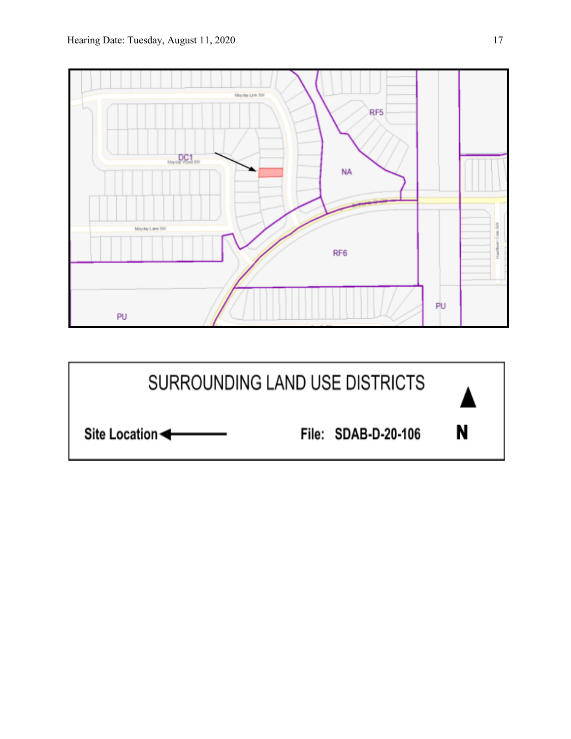

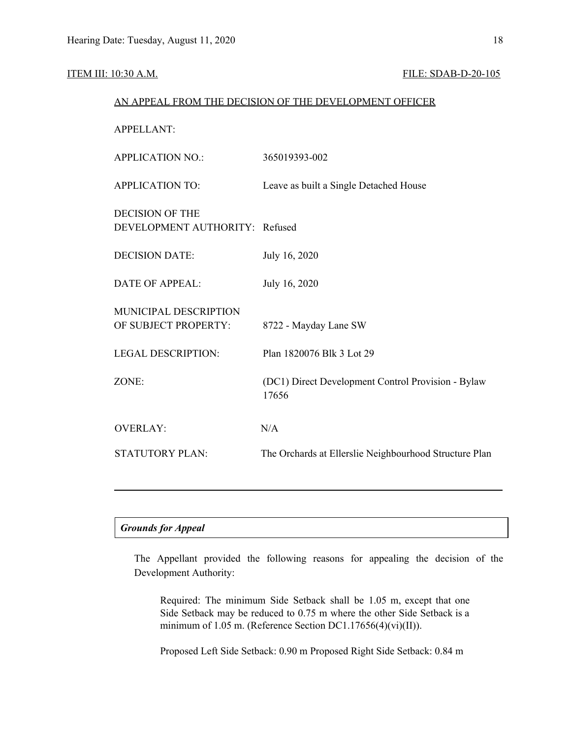#### ITEM III: 10:30 A.M. FILE: SDAB-D-20-105

|                                                          | AN APPEAL FROM THE DECISION OF THE DEVELOPMENT OFFICER      |
|----------------------------------------------------------|-------------------------------------------------------------|
| <b>APPELLANT:</b>                                        |                                                             |
| <b>APPLICATION NO.:</b>                                  | 365019393-002                                               |
| <b>APPLICATION TO:</b>                                   | Leave as built a Single Detached House                      |
| <b>DECISION OF THE</b><br>DEVELOPMENT AUTHORITY: Refused |                                                             |
| <b>DECISION DATE:</b>                                    | July 16, 2020                                               |
| <b>DATE OF APPEAL:</b>                                   | July 16, 2020                                               |
| MUNICIPAL DESCRIPTION<br>OF SUBJECT PROPERTY:            | 8722 - Mayday Lane SW                                       |
| <b>LEGAL DESCRIPTION:</b>                                | Plan 1820076 Blk 3 Lot 29                                   |
| ZONE:                                                    | (DC1) Direct Development Control Provision - Bylaw<br>17656 |
| <b>OVERLAY:</b>                                          | N/A                                                         |
| <b>STATUTORY PLAN:</b>                                   | The Orchards at Ellerslie Neighbourhood Structure Plan      |
|                                                          |                                                             |

#### *Grounds for Appeal*

The Appellant provided the following reasons for appealing the decision of the Development Authority:

Required: The minimum Side Setback shall be 1.05 m, except that one Side Setback may be reduced to 0.75 m where the other Side Setback is a minimum of 1.05 m. (Reference Section DC1.17656(4)(vi)(II)).

Proposed Left Side Setback: 0.90 m Proposed Right Side Setback: 0.84 m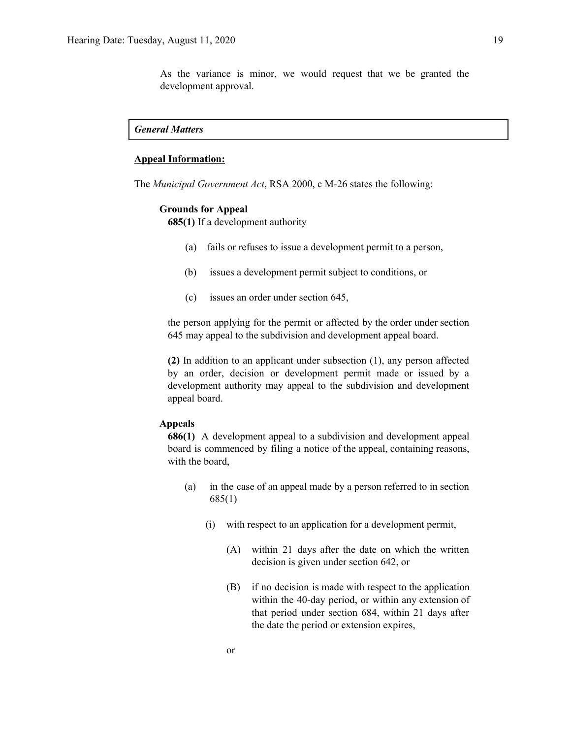As the variance is minor, we would request that we be granted the development approval.

#### *General Matters*

#### **Appeal Information:**

The *Municipal Government Act*, RSA 2000, c M-26 states the following:

#### **Grounds for Appeal**

**685(1)** If a development authority

- (a) fails or refuses to issue a development permit to a person,
- (b) issues a development permit subject to conditions, or
- (c) issues an order under section 645,

the person applying for the permit or affected by the order under section 645 may appeal to the subdivision and development appeal board.

**(2)** In addition to an applicant under subsection (1), any person affected by an order, decision or development permit made or issued by a development authority may appeal to the subdivision and development appeal board.

#### **Appeals**

**686(1)** A development appeal to a subdivision and development appeal board is commenced by filing a notice of the appeal, containing reasons, with the board,

- (a) in the case of an appeal made by a person referred to in section 685(1)
	- (i) with respect to an application for a development permit,
		- (A) within 21 days after the date on which the written decision is given under section 642, or
		- (B) if no decision is made with respect to the application within the 40-day period, or within any extension of that period under section 684, within 21 days after the date the period or extension expires,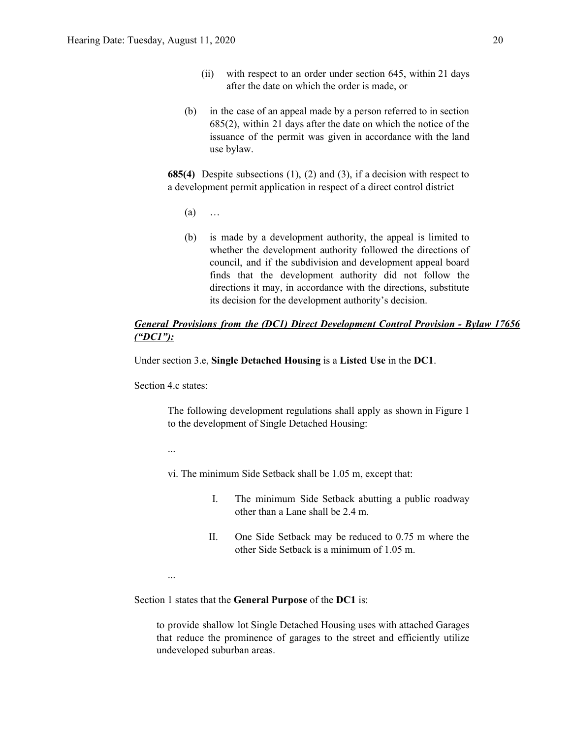- (ii) with respect to an order under section 645, within 21 days after the date on which the order is made, or
- (b) in the case of an appeal made by a person referred to in section 685(2), within 21 days after the date on which the notice of the issuance of the permit was given in accordance with the land use bylaw.

**685(4)** Despite subsections (1), (2) and (3), if a decision with respect to a development permit application in respect of a direct control district

- $(a)$  …
- (b) is made by a development authority, the appeal is limited to whether the development authority followed the directions of council, and if the subdivision and development appeal board finds that the development authority did not follow the directions it may, in accordance with the directions, substitute its decision for the development authority's decision.

### *General Provisions from the (DC1) Direct Development Control Provision - Bylaw 17656 ("DC1"):*

Under section 3.e, **Single Detached Housing** is a **Listed Use** in the **DC1**.

Section 4.c states:

The following development regulations shall apply as shown in Figure 1 to the development of Single Detached Housing:

...

...

- vi. The minimum Side Setback shall be 1.05 m, except that:
	- I. The minimum Side Setback abutting a public roadway other than a Lane shall be 2.4 m.
	- II. One Side Setback may be reduced to 0.75 m where the other Side Setback is a minimum of 1.05 m.

Section 1 states that the **General Purpose** of the **DC1** is:

to provide shallow lot Single Detached Housing uses with attached Garages that reduce the prominence of garages to the street and efficiently utilize undeveloped suburban areas.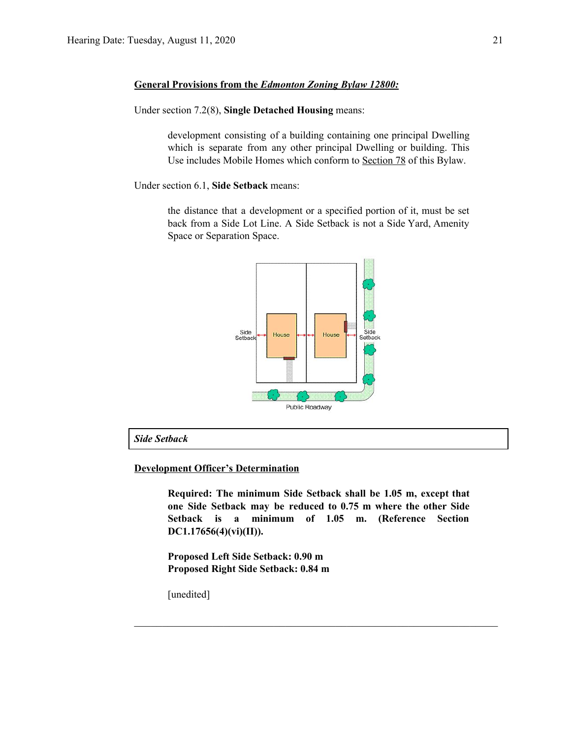### **General Provisions from the** *Edmonton Zoning Bylaw 12800:*

Under section 7.2(8), **Single Detached Housing** means:

development consisting of a building containing one principal Dwelling which is separate from any other principal Dwelling or building. This Use includes Mobile Homes which conform to [Section](https://webdocs.edmonton.ca/InfraPlan/zoningbylaw/ZoningBylaw/Part1/Special_Land/78__Mobile_Homes.htm) 78 of this Bylaw.

Under section 6.1, **Side Setback** means:

the distance that a development or a specified portion of it, must be set back from a Side Lot Line. A Side Setback is not a Side Yard, Amenity Space or Separation Space.



*Side Setback*

#### **Development Officer's Determination**

**Required: The minimum Side Setback shall be 1.05 m, except that one Side Setback may be reduced to 0.75 m where the other Side Setback is a minimum of 1.05 m. (Reference Section DC1.17656(4)(vi)(II)).**

 $\mathcal{L}_\text{max}$  , and the contribution of the contribution of the contribution of the contribution of the contribution of the contribution of the contribution of the contribution of the contribution of the contribution of t

**Proposed Left Side Setback: 0.90 m Proposed Right Side Setback: 0.84 m**

[unedited]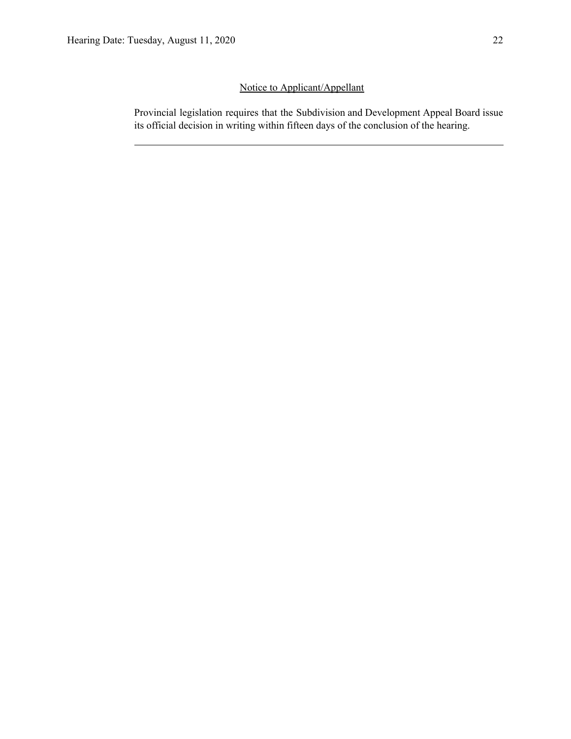## Notice to Applicant/Appellant

Provincial legislation requires that the Subdivision and Development Appeal Board issue its official decision in writing within fifteen days of the conclusion of the hearing.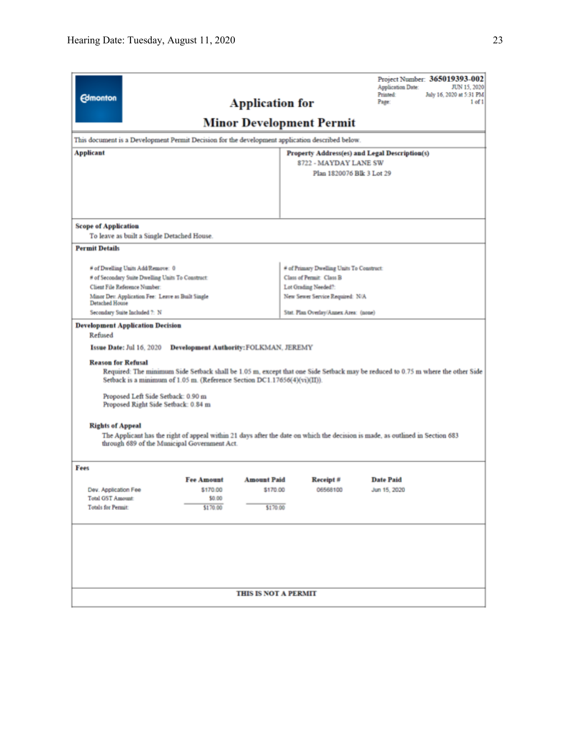| <b>Edmonton</b>                                                         |                                                                                                                                                                                                                                    |                                               | <b>Application for</b> | <b>Minor Development Permit</b>                                                                 | Project Number: 365019393-002<br><b>Application Date:</b><br>JUN 15, 2020<br>Printed:<br>July 16, 2020 at 5:31 PM<br>Page:<br>$1$ of $1$                                                                                                                        |  |  |
|-------------------------------------------------------------------------|------------------------------------------------------------------------------------------------------------------------------------------------------------------------------------------------------------------------------------|-----------------------------------------------|------------------------|-------------------------------------------------------------------------------------------------|-----------------------------------------------------------------------------------------------------------------------------------------------------------------------------------------------------------------------------------------------------------------|--|--|
|                                                                         |                                                                                                                                                                                                                                    |                                               |                        | This document is a Development Permit Decision for the development application described below. |                                                                                                                                                                                                                                                                 |  |  |
| Applicant                                                               |                                                                                                                                                                                                                                    |                                               |                        |                                                                                                 |                                                                                                                                                                                                                                                                 |  |  |
|                                                                         | Property Address(es) and Legal Description(s)<br>8722 - MAYDAY LANE SW                                                                                                                                                             |                                               |                        |                                                                                                 |                                                                                                                                                                                                                                                                 |  |  |
|                                                                         |                                                                                                                                                                                                                                    |                                               |                        |                                                                                                 | Plan 1820076 Blk 3 Lot 29                                                                                                                                                                                                                                       |  |  |
|                                                                         |                                                                                                                                                                                                                                    |                                               |                        |                                                                                                 |                                                                                                                                                                                                                                                                 |  |  |
| <b>Scope of Application</b>                                             |                                                                                                                                                                                                                                    |                                               |                        |                                                                                                 |                                                                                                                                                                                                                                                                 |  |  |
|                                                                         | To leave as built a Single Detached House.                                                                                                                                                                                         |                                               |                        |                                                                                                 |                                                                                                                                                                                                                                                                 |  |  |
| <b>Permit Details</b>                                                   |                                                                                                                                                                                                                                    |                                               |                        |                                                                                                 |                                                                                                                                                                                                                                                                 |  |  |
|                                                                         | # of Dwelling Units Add/Remove: 0                                                                                                                                                                                                  |                                               |                        | # of Primary Dwelling Units To Construct:                                                       |                                                                                                                                                                                                                                                                 |  |  |
|                                                                         | # of Secondary Suite Dwelling Units To Construct:                                                                                                                                                                                  |                                               |                        | Class of Permit: Class B                                                                        |                                                                                                                                                                                                                                                                 |  |  |
| Client File Reference Number:                                           |                                                                                                                                                                                                                                    |                                               |                        | Lot Grading Needed?:                                                                            |                                                                                                                                                                                                                                                                 |  |  |
| <b>Detached House</b>                                                   | Minor Dev. Application Fee: Leave as Built Single                                                                                                                                                                                  |                                               |                        | New Sewer Service Required: N/A                                                                 |                                                                                                                                                                                                                                                                 |  |  |
| Secondary Suite Included ?: N                                           |                                                                                                                                                                                                                                    |                                               |                        | Stat. Plan Overlay/Annex Area: (none)                                                           |                                                                                                                                                                                                                                                                 |  |  |
| Refused<br><b>Reason for Refusal</b><br><b>Rights of Appeal</b><br>Fees | Issue Date: Jul 16, 2020<br>Setback is a minimum of 1.05 m. (Reference Section DC1.17656(4)(vi)(II)).<br>Proposed Left Side Setback: 0.90 m<br>Proposed Right Side Setback: 0.84 m<br>through 689 of the Municipal Government Act. | <b>Development Authority: FOLKMAN, JEREMY</b> |                        |                                                                                                 | Required: The minimum Side Setback shall be 1.05 m, except that one Side Setback may be reduced to 0.75 m where the other Side<br>The Applicant has the right of appeal within 21 days after the date on which the decision is made, as outlined in Section 683 |  |  |
|                                                                         |                                                                                                                                                                                                                                    | <b>Fee Amount</b>                             | <b>Amount Paid</b>     | Receipt#                                                                                        | <b>Date Paid</b>                                                                                                                                                                                                                                                |  |  |
| Dev. Application Fee                                                    |                                                                                                                                                                                                                                    | \$170.00                                      | \$170.00               | 06568100                                                                                        | Jun 15, 2020                                                                                                                                                                                                                                                    |  |  |
| Total GST Amount:                                                       |                                                                                                                                                                                                                                    | \$0.00                                        |                        |                                                                                                 |                                                                                                                                                                                                                                                                 |  |  |
| <b>Totals for Permit:</b>                                               |                                                                                                                                                                                                                                    | \$170.00                                      | \$170.00               |                                                                                                 |                                                                                                                                                                                                                                                                 |  |  |
|                                                                         |                                                                                                                                                                                                                                    |                                               | THIS IS NOT A PERMIT   |                                                                                                 |                                                                                                                                                                                                                                                                 |  |  |
|                                                                         |                                                                                                                                                                                                                                    |                                               |                        |                                                                                                 |                                                                                                                                                                                                                                                                 |  |  |